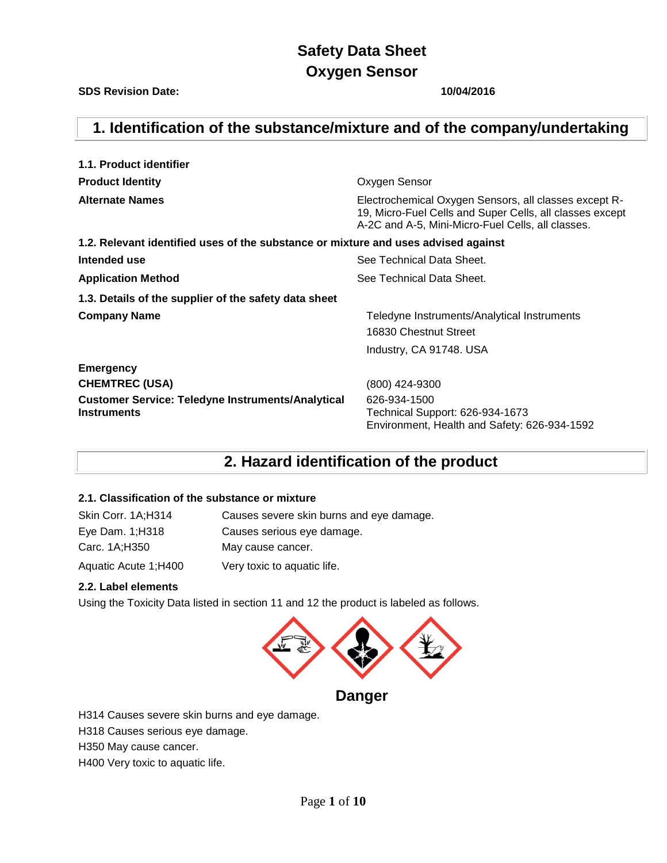# **1. Identification of the substance/mixture and of the company/undertaking**

| 1.1. Product identifier                                                            |                                                                                                                                                                        |  |  |
|------------------------------------------------------------------------------------|------------------------------------------------------------------------------------------------------------------------------------------------------------------------|--|--|
| <b>Product Identity</b>                                                            | Oxygen Sensor                                                                                                                                                          |  |  |
| <b>Alternate Names</b>                                                             | Electrochemical Oxygen Sensors, all classes except R-<br>19, Micro-Fuel Cells and Super Cells, all classes except<br>A-2C and A-5, Mini-Micro-Fuel Cells, all classes. |  |  |
| 1.2. Relevant identified uses of the substance or mixture and uses advised against |                                                                                                                                                                        |  |  |
| Intended use                                                                       | See Technical Data Sheet.                                                                                                                                              |  |  |
| <b>Application Method</b>                                                          | See Technical Data Sheet.                                                                                                                                              |  |  |
| 1.3. Details of the supplier of the safety data sheet                              |                                                                                                                                                                        |  |  |
| <b>Company Name</b>                                                                | Teledyne Instruments/Analytical Instruments                                                                                                                            |  |  |
|                                                                                    | 16830 Chestnut Street                                                                                                                                                  |  |  |
|                                                                                    | Industry, CA 91748. USA                                                                                                                                                |  |  |
| <b>Emergency</b>                                                                   |                                                                                                                                                                        |  |  |
| <b>CHEMTREC (USA)</b>                                                              | (800) 424-9300                                                                                                                                                         |  |  |
| <b>Customer Service: Teledyne Instruments/Analytical</b><br><b>Instruments</b>     | 626-934-1500<br>Technical Support: 626-934-1673<br>Environment, Health and Safety: 626-934-1592                                                                        |  |  |

## **2. Hazard identification of the product**

### **2.1. Classification of the substance or mixture**

| Skin Corr. 1A;H314   | Causes severe skin burns and eye damage. |
|----------------------|------------------------------------------|
| Eye Dam. $1;H318$    | Causes serious eye damage.               |
| Carc. 1A;H350        | May cause cancer.                        |
| Aquatic Acute 1;H400 | Very toxic to aquatic life.              |

### **2.2. Label elements**

Using the Toxicity Data listed in section 11 and 12 the product is labeled as follows.



## **Danger**

H314 Causes severe skin burns and eye damage.

H318 Causes serious eye damage.

H350 May cause cancer.

H400 Very toxic to aquatic life.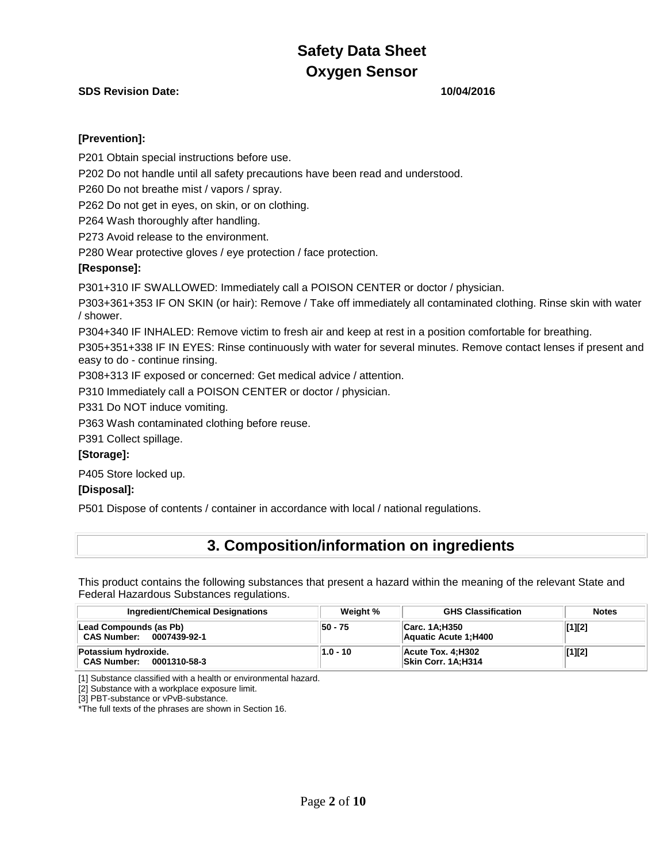### **SDS Revision Date: 10/04/2016**

### **[Prevention]:**

P201 Obtain special instructions before use.

P202 Do not handle until all safety precautions have been read and understood.

P260 Do not breathe mist / vapors / spray.

P262 Do not get in eyes, on skin, or on clothing.

P264 Wash thoroughly after handling.

P273 Avoid release to the environment.

P280 Wear protective gloves / eye protection / face protection.

### **[Response]:**

P301+310 IF SWALLOWED: Immediately call a POISON CENTER or doctor / physician.

P303+361+353 IF ON SKIN (or hair): Remove / Take off immediately all contaminated clothing. Rinse skin with water / shower.

P304+340 IF INHALED: Remove victim to fresh air and keep at rest in a position comfortable for breathing.

P305+351+338 IF IN EYES: Rinse continuously with water for several minutes. Remove contact lenses if present and easy to do - continue rinsing.

P308+313 IF exposed or concerned: Get medical advice / attention.

P310 Immediately call a POISON CENTER or doctor / physician.

P331 Do NOT induce vomiting.

P363 Wash contaminated clothing before reuse.

P391 Collect spillage.

### **[Storage]:**

P405 Store locked up.

### **[Disposal]:**

P501 Dispose of contents / container in accordance with local / national regulations.

## **3. Composition/information on ingredients**

This product contains the following substances that present a hazard within the meaning of the relevant State and Federal Hazardous Substances regulations.

| <b>Ingredient/Chemical Designations</b>                    | Weight %   | <b>GHS Classification</b>                       | <b>Notes</b> |
|------------------------------------------------------------|------------|-------------------------------------------------|--------------|
| Lead Compounds (as Pb)<br>CAS Number: 0007439-92-1         | $50 - 75$  | <b>liCarc. 1A;H350</b><br>Aquatic Acute 1; H400 | [1][2]       |
| Potassium hydroxide.<br><b>CAS Number:</b><br>0001310-58-3 | $1.0 - 10$ | Acute Tox. 4:H302<br>Skin Corr. 1A;H314         | [1][2]       |

[1] Substance classified with a health or environmental hazard.

[2] Substance with a workplace exposure limit.

[3] PBT-substance or vPvB-substance.

\*The full texts of the phrases are shown in Section 16.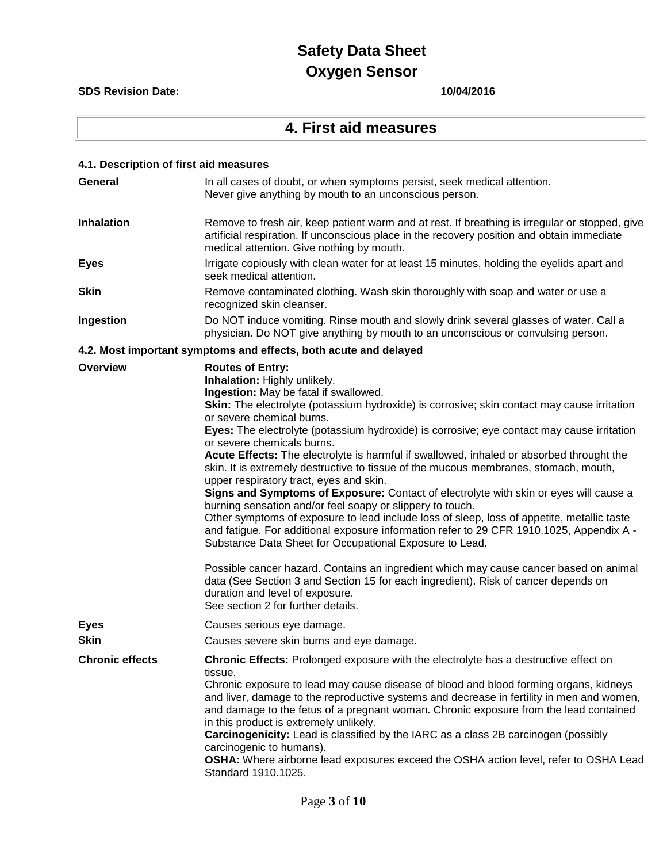### **SDS Revision Date: 10/04/2016**

# **4. First aid measures**

| 4.1. Description of first aid measures |                                                                                                                                                                                                                                                                                                                                                                                                                                                                                                                                                                                                                                                                                                                                                                                                                                                                                                                                                                                                                                                                                                                                                                                                                                                            |
|----------------------------------------|------------------------------------------------------------------------------------------------------------------------------------------------------------------------------------------------------------------------------------------------------------------------------------------------------------------------------------------------------------------------------------------------------------------------------------------------------------------------------------------------------------------------------------------------------------------------------------------------------------------------------------------------------------------------------------------------------------------------------------------------------------------------------------------------------------------------------------------------------------------------------------------------------------------------------------------------------------------------------------------------------------------------------------------------------------------------------------------------------------------------------------------------------------------------------------------------------------------------------------------------------------|
| <b>General</b>                         | In all cases of doubt, or when symptoms persist, seek medical attention.<br>Never give anything by mouth to an unconscious person.                                                                                                                                                                                                                                                                                                                                                                                                                                                                                                                                                                                                                                                                                                                                                                                                                                                                                                                                                                                                                                                                                                                         |
| <b>Inhalation</b>                      | Remove to fresh air, keep patient warm and at rest. If breathing is irregular or stopped, give<br>artificial respiration. If unconscious place in the recovery position and obtain immediate<br>medical attention. Give nothing by mouth.                                                                                                                                                                                                                                                                                                                                                                                                                                                                                                                                                                                                                                                                                                                                                                                                                                                                                                                                                                                                                  |
| <b>Eyes</b>                            | Irrigate copiously with clean water for at least 15 minutes, holding the eyelids apart and<br>seek medical attention.                                                                                                                                                                                                                                                                                                                                                                                                                                                                                                                                                                                                                                                                                                                                                                                                                                                                                                                                                                                                                                                                                                                                      |
| <b>Skin</b>                            | Remove contaminated clothing. Wash skin thoroughly with soap and water or use a<br>recognized skin cleanser.                                                                                                                                                                                                                                                                                                                                                                                                                                                                                                                                                                                                                                                                                                                                                                                                                                                                                                                                                                                                                                                                                                                                               |
| Ingestion                              | Do NOT induce vomiting. Rinse mouth and slowly drink several glasses of water. Call a<br>physician. Do NOT give anything by mouth to an unconscious or convulsing person.                                                                                                                                                                                                                                                                                                                                                                                                                                                                                                                                                                                                                                                                                                                                                                                                                                                                                                                                                                                                                                                                                  |
|                                        | 4.2. Most important symptoms and effects, both acute and delayed                                                                                                                                                                                                                                                                                                                                                                                                                                                                                                                                                                                                                                                                                                                                                                                                                                                                                                                                                                                                                                                                                                                                                                                           |
| <b>Overview</b>                        | <b>Routes of Entry:</b><br>Inhalation: Highly unlikely.<br>Ingestion: May be fatal if swallowed.<br>Skin: The electrolyte (potassium hydroxide) is corrosive; skin contact may cause irritation<br>or severe chemical burns.<br>Eyes: The electrolyte (potassium hydroxide) is corrosive; eye contact may cause irritation<br>or severe chemicals burns.<br>Acute Effects: The electrolyte is harmful if swallowed, inhaled or absorbed throught the<br>skin. It is extremely destructive to tissue of the mucous membranes, stomach, mouth,<br>upper respiratory tract, eyes and skin.<br>Signs and Symptoms of Exposure: Contact of electrolyte with skin or eyes will cause a<br>burning sensation and/or feel soapy or slippery to touch.<br>Other symptoms of exposure to lead include loss of sleep, loss of appetite, metallic taste<br>and fatigue. For additional exposure information refer to 29 CFR 1910.1025, Appendix A -<br>Substance Data Sheet for Occupational Exposure to Lead.<br>Possible cancer hazard. Contains an ingredient which may cause cancer based on animal<br>data (See Section 3 and Section 15 for each ingredient). Risk of cancer depends on<br>duration and level of exposure.<br>See section 2 for further details. |
| <b>Eyes</b>                            | Causes serious eye damage.                                                                                                                                                                                                                                                                                                                                                                                                                                                                                                                                                                                                                                                                                                                                                                                                                                                                                                                                                                                                                                                                                                                                                                                                                                 |
| <b>Skin</b>                            | Causes severe skin burns and eye damage.                                                                                                                                                                                                                                                                                                                                                                                                                                                                                                                                                                                                                                                                                                                                                                                                                                                                                                                                                                                                                                                                                                                                                                                                                   |
| <b>Chronic effects</b>                 | Chronic Effects: Prolonged exposure with the electrolyte has a destructive effect on<br>tissue.<br>Chronic exposure to lead may cause disease of blood and blood forming organs, kidneys<br>and liver, damage to the reproductive systems and decrease in fertility in men and women,<br>and damage to the fetus of a pregnant woman. Chronic exposure from the lead contained<br>in this product is extremely unlikely.<br>Carcinogenicity: Lead is classified by the IARC as a class 2B carcinogen (possibly<br>carcinogenic to humans).<br>OSHA: Where airborne lead exposures exceed the OSHA action level, refer to OSHA Lead<br>Standard 1910.1025.                                                                                                                                                                                                                                                                                                                                                                                                                                                                                                                                                                                                  |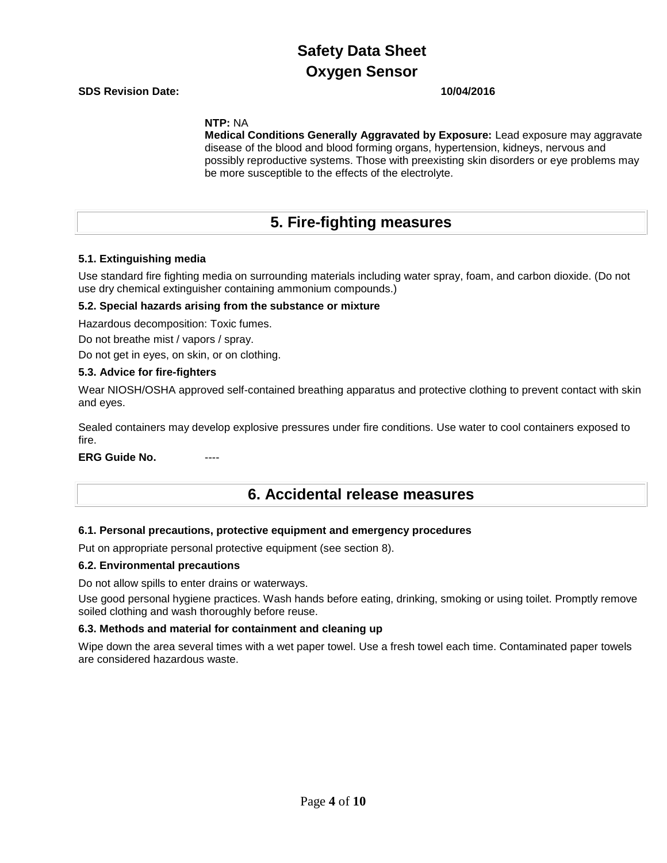**SDS Revision Date: 10/04/2016**

**NTP:** NA

**Medical Conditions Generally Aggravated by Exposure:** Lead exposure may aggravate disease of the blood and blood forming organs, hypertension, kidneys, nervous and possibly reproductive systems. Those with preexisting skin disorders or eye problems may be more susceptible to the effects of the electrolyte.

## **5. Fire-fighting measures**

### **5.1. Extinguishing media**

Use standard fire fighting media on surrounding materials including water spray, foam, and carbon dioxide. (Do not use dry chemical extinguisher containing ammonium compounds.)

### **5.2. Special hazards arising from the substance or mixture**

Hazardous decomposition: Toxic fumes.

Do not breathe mist / vapors / spray.

Do not get in eyes, on skin, or on clothing.

### **5.3. Advice for fire-fighters**

Wear NIOSH/OSHA approved self-contained breathing apparatus and protective clothing to prevent contact with skin and eyes.

Sealed containers may develop explosive pressures under fire conditions. Use water to cool containers exposed to fire.

**ERG Guide No.** 

**6. Accidental release measures**

### **6.1. Personal precautions, protective equipment and emergency procedures**

Put on appropriate personal protective equipment (see section 8).

### **6.2. Environmental precautions**

Do not allow spills to enter drains or waterways.

Use good personal hygiene practices. Wash hands before eating, drinking, smoking or using toilet. Promptly remove soiled clothing and wash thoroughly before reuse.

### **6.3. Methods and material for containment and cleaning up**

Wipe down the area several times with a wet paper towel. Use a fresh towel each time. Contaminated paper towels are considered hazardous waste.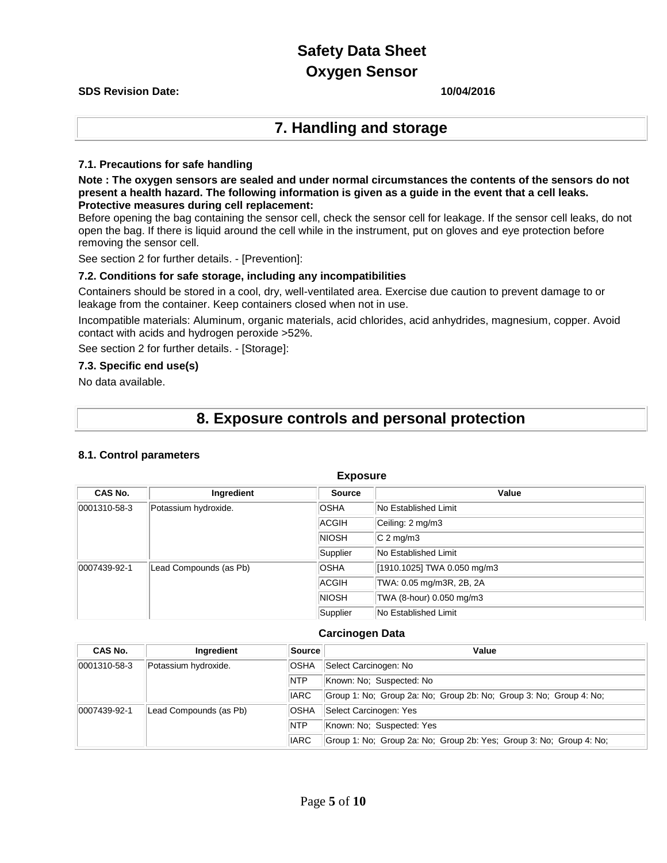# **Safety Data Sheet**

### **Oxygen Sensor**

### **SDS Revision Date: 10/04/2016**

## **7. Handling and storage**

### **7.1. Precautions for safe handling**

**Note : The oxygen sensors are sealed and under normal circumstances the contents of the sensors do not present a health hazard. The following information is given as a guide in the event that a cell leaks. Protective measures during cell replacement:** 

Before opening the bag containing the sensor cell, check the sensor cell for leakage. If the sensor cell leaks, do not open the bag. If there is liquid around the cell while in the instrument, put on gloves and eye protection before removing the sensor cell.

See section 2 for further details. - [Prevention]:

### **7.2. Conditions for safe storage, including any incompatibilities**

Containers should be stored in a cool, dry, well-ventilated area. Exercise due caution to prevent damage to or leakage from the container. Keep containers closed when not in use.

Incompatible materials: Aluminum, organic materials, acid chlorides, acid anhydrides, magnesium, copper. Avoid contact with acids and hydrogen peroxide >52%.

See section 2 for further details. - [Storage]:

### **7.3. Specific end use(s)**

No data available.

## **8. Exposure controls and personal protection**

### **8.1. Control parameters**

| <b>Exposure</b> |                        |               |                             |  |
|-----------------|------------------------|---------------|-----------------------------|--|
| CAS No.         | Ingredient             | <b>Source</b> | Value                       |  |
| 0001310-58-3    | Potassium hydroxide.   | <b>OSHA</b>   | No Established Limit        |  |
|                 |                        | ACGIH         | Ceiling: 2 mg/m3            |  |
|                 |                        | <b>NIOSH</b>  | $C2$ mg/m3                  |  |
|                 |                        | Supplier      | No Established Limit        |  |
| 0007439-92-1    | Lead Compounds (as Pb) | <b>OSHA</b>   | [1910.1025] TWA 0.050 mg/m3 |  |
|                 |                        | ACGIH         | TWA: 0.05 mg/m3R, 2B, 2A    |  |
|                 |                        | <b>NIOSH</b>  | TWA (8-hour) 0.050 mg/m3    |  |
|                 |                        | Supplier      | No Established Limit        |  |

### **Carcinogen Data**

| CAS No.      | Ingredient             | Source      | Value                                                               |  |  |
|--------------|------------------------|-------------|---------------------------------------------------------------------|--|--|
| 0001310-58-3 | Potassium hydroxide.   | <b>OSHA</b> | Select Carcinogen: No                                               |  |  |
|              |                        | <b>NTP</b>  | Known: No: Suspected: No                                            |  |  |
|              |                        | <b>IARC</b> | Group 1: No; Group 2a: No; Group 2b: No; Group 3: No; Group 4: No;  |  |  |
| 0007439-92-1 | Lead Compounds (as Pb) | <b>OSHA</b> | Select Carcinogen: Yes                                              |  |  |
|              |                        | <b>NTP</b>  | Known: No: Suspected: Yes                                           |  |  |
|              |                        | <b>IARC</b> | Group 1: No; Group 2a: No; Group 2b: Yes; Group 3: No; Group 4: No; |  |  |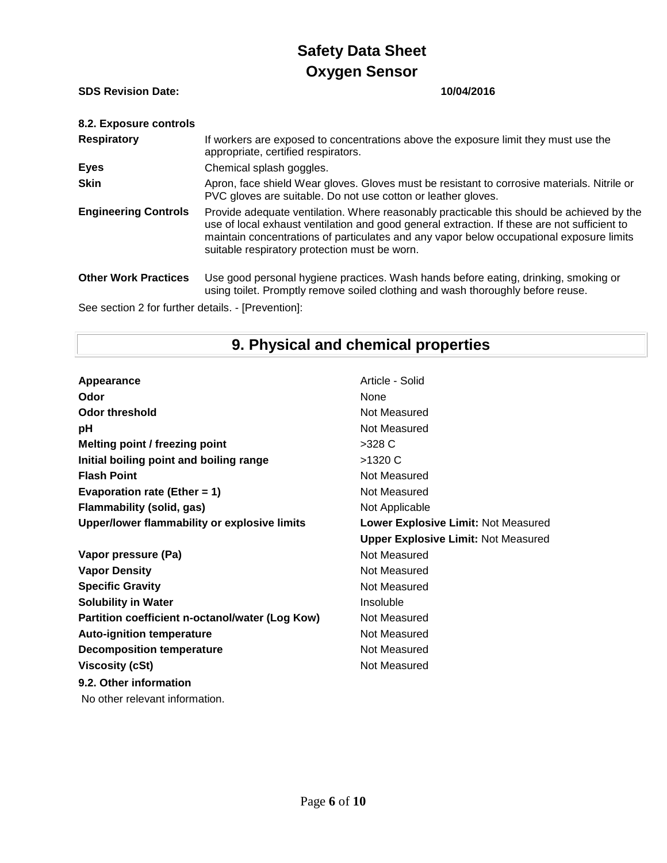**SDS Revision Date: 10/04/2016**

| 8.2. Exposure controls                             |                                                                                                                                                                                                                                                                                                                                        |
|----------------------------------------------------|----------------------------------------------------------------------------------------------------------------------------------------------------------------------------------------------------------------------------------------------------------------------------------------------------------------------------------------|
| <b>Respiratory</b>                                 | If workers are exposed to concentrations above the exposure limit they must use the<br>appropriate, certified respirators.                                                                                                                                                                                                             |
| <b>Eyes</b>                                        | Chemical splash goggles.                                                                                                                                                                                                                                                                                                               |
| <b>Skin</b>                                        | Apron, face shield Wear gloves. Gloves must be resistant to corrosive materials. Nitrile or<br>PVC gloves are suitable. Do not use cotton or leather gloves.                                                                                                                                                                           |
| <b>Engineering Controls</b>                        | Provide adequate ventilation. Where reasonably practicable this should be achieved by the<br>use of local exhaust ventilation and good general extraction. If these are not sufficient to<br>maintain concentrations of particulates and any vapor below occupational exposure limits<br>suitable respiratory protection must be worn. |
| <b>Other Work Practices</b>                        | Use good personal hygiene practices. Wash hands before eating, drinking, smoking or<br>using toilet. Promptly remove soiled clothing and wash thoroughly before reuse.                                                                                                                                                                 |
| See section 2 for further details. - [Prevention]: |                                                                                                                                                                                                                                                                                                                                        |

# **9. Physical and chemical properties**

| Appearance                                      | Article - Solid                            |
|-------------------------------------------------|--------------------------------------------|
| Odor                                            | <b>None</b>                                |
| <b>Odor threshold</b>                           | Not Measured                               |
| рH                                              | Not Measured                               |
| Melting point / freezing point                  | $>328$ C                                   |
| Initial boiling point and boiling range         | >1320 C                                    |
| <b>Flash Point</b>                              | Not Measured                               |
| Evaporation rate (Ether = $1$ )                 | Not Measured                               |
| <b>Flammability (solid, gas)</b>                | Not Applicable                             |
| Upper/lower flammability or explosive limits    | Lower Explosive Limit: Not Measured        |
|                                                 | <b>Upper Explosive Limit: Not Measured</b> |
| Vapor pressure (Pa)                             | Not Measured                               |
| <b>Vapor Density</b>                            | Not Measured                               |
| <b>Specific Gravity</b>                         | Not Measured                               |
| <b>Solubility in Water</b>                      | Insoluble                                  |
| Partition coefficient n-octanol/water (Log Kow) | Not Measured                               |
| <b>Auto-ignition temperature</b>                | Not Measured                               |
| <b>Decomposition temperature</b>                | Not Measured                               |
| <b>Viscosity (cSt)</b>                          | Not Measured                               |
| 9.2. Other information                          |                                            |
| No other relevant information.                  |                                            |
|                                                 |                                            |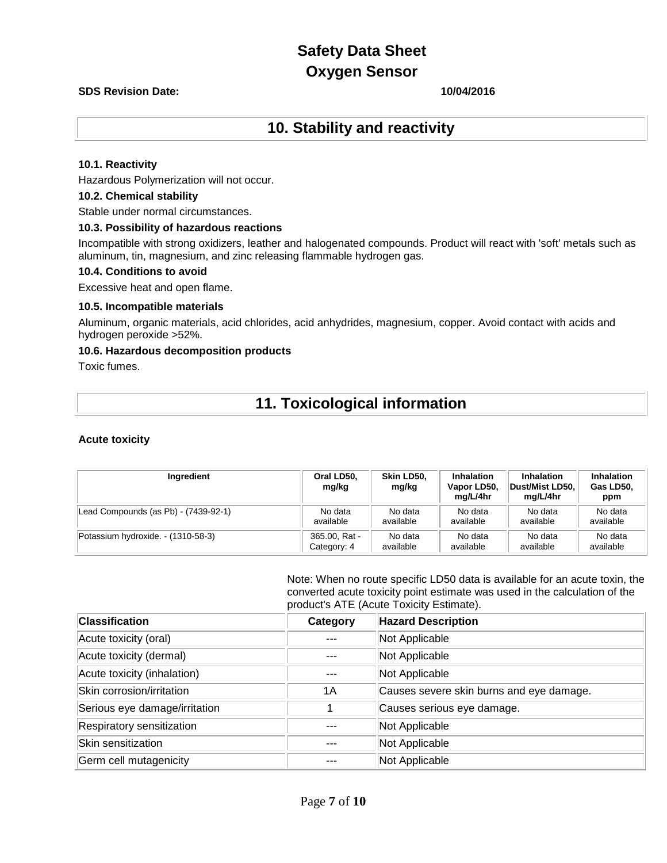### **SDS Revision Date: 10/04/2016**

## **10. Stability and reactivity**

### **10.1. Reactivity**

Hazardous Polymerization will not occur.

### **10.2. Chemical stability**

Stable under normal circumstances.

### **10.3. Possibility of hazardous reactions**

Incompatible with strong oxidizers, leather and halogenated compounds. Product will react with 'soft' metals such as aluminum, tin, magnesium, and zinc releasing flammable hydrogen gas.

### **10.4. Conditions to avoid**

Excessive heat and open flame.

### **10.5. Incompatible materials**

Aluminum, organic materials, acid chlorides, acid anhydrides, magnesium, copper. Avoid contact with acids and hydrogen peroxide >52%.

### **10.6. Hazardous decomposition products**

Toxic fumes.

# **11. Toxicological information**

### **Acute toxicity**

| Ingredient                           | Oral LD50,<br>mg/kg | Skin LD50.<br>mg/kg | <b>Inhalation</b><br>Vapor LD50,<br>ma/L/4hr | <b>Inhalation</b><br>Dust/Mist LD50.<br>ma/L/4hr | Inhalation<br>Gas LD50,<br>ppm |
|--------------------------------------|---------------------|---------------------|----------------------------------------------|--------------------------------------------------|--------------------------------|
| Lead Compounds (as Pb) - (7439-92-1) | No data             | No data             | No data                                      | No data                                          | No data                        |
|                                      | available           | available           | available                                    | available                                        | available                      |
| Potassium hydroxide. - (1310-58-3)   | 365.00, Rat -       | No data             | No data                                      | No data                                          | No data                        |
|                                      | Category: 4         | available           | available                                    | available                                        | available                      |

Note: When no route specific LD50 data is available for an acute toxin, the converted acute toxicity point estimate was used in the calculation of the product's ATE (Acute Toxicity Estimate).

| <b>Classification</b>         | Category | <b>Hazard Description</b>                |
|-------------------------------|----------|------------------------------------------|
| Acute toxicity (oral)         |          | Not Applicable                           |
| Acute toxicity (dermal)       |          | Not Applicable                           |
| Acute toxicity (inhalation)   |          | Not Applicable                           |
| Skin corrosion/irritation     | 1A       | Causes severe skin burns and eye damage. |
| Serious eye damage/irritation |          | Causes serious eye damage.               |
| Respiratory sensitization     |          | Not Applicable                           |
| Skin sensitization            |          | Not Applicable                           |
| Germ cell mutagenicity        |          | Not Applicable                           |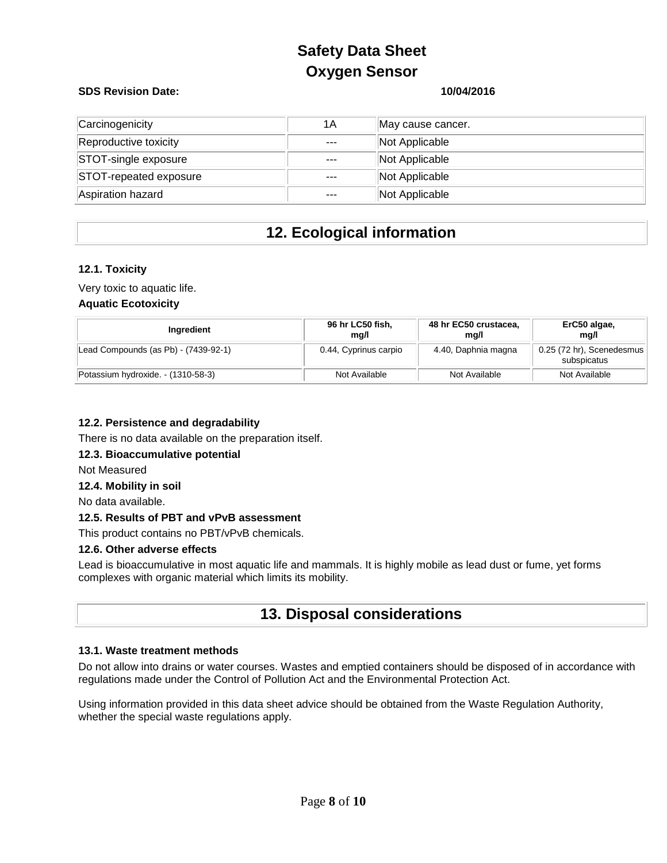### **SDS Revision Date: 10/04/2016**

| Carcinogenicity        | 1A      | May cause cancer. |
|------------------------|---------|-------------------|
| Reproductive toxicity  | $- - -$ | Not Applicable    |
| STOT-single exposure   | $---$   | Not Applicable    |
| STOT-repeated exposure | $- - -$ | Not Applicable    |
| Aspiration hazard      | $---$   | Not Applicable    |

# **12. Ecological information**

### **12.1. Toxicity**

Very toxic to aquatic life.

### **Aquatic Ecotoxicity**

| Ingredient                           | 96 hr LC50 fish,<br>ma/l | 48 hr EC50 crustacea,<br>mg/l | ErC50 algae,<br>mg/l                       |
|--------------------------------------|--------------------------|-------------------------------|--------------------------------------------|
| Lead Compounds (as Pb) - (7439-92-1) | 0.44, Cyprinus carpio    | 4.40, Daphnia magna           | $0.25$ (72 hr), Scenedesmus<br>subspicatus |
| Potassium hydroxide. - (1310-58-3)   | Not Available            | Not Available                 | Not Available                              |

### **12.2. Persistence and degradability**

There is no data available on the preparation itself.

### **12.3. Bioaccumulative potential**

Not Measured

### **12.4. Mobility in soil**

No data available.

### **12.5. Results of PBT and vPvB assessment**

This product contains no PBT/vPvB chemicals.

### **12.6. Other adverse effects**

Lead is bioaccumulative in most aquatic life and mammals. It is highly mobile as lead dust or fume, yet forms complexes with organic material which limits its mobility.

## **13. Disposal considerations**

### **13.1. Waste treatment methods**

Do not allow into drains or water courses. Wastes and emptied containers should be disposed of in accordance with regulations made under the Control of Pollution Act and the Environmental Protection Act.

Using information provided in this data sheet advice should be obtained from the Waste Regulation Authority, whether the special waste regulations apply.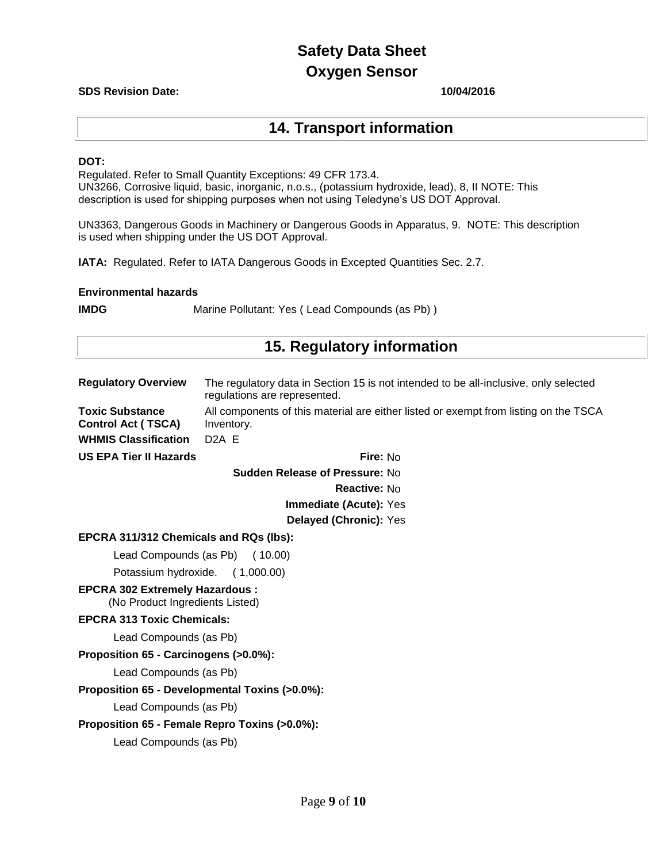### **SDS Revision Date: 10/04/2016**

## **14. Transport information**

### **DOT:**

Regulated. Refer to Small Quantity Exceptions: 49 CFR 173.4. UN3266, Corrosive liquid, basic, inorganic, n.o.s., (potassium hydroxide, lead), 8, II NOTE: This description is used for shipping purposes when not using Teledyne's US DOT Approval.

UN3363, Dangerous Goods in Machinery or Dangerous Goods in Apparatus, 9. NOTE: This description is used when shipping under the US DOT Approval.

**IATA:** Regulated. Refer to IATA Dangerous Goods in Excepted Quantities Sec. 2.7.

### **Environmental hazards**

**IMDG** Marine Pollutant: Yes (Lead Compounds (as Pb))

## **15. Regulatory information**

| <b>Regulatory Overview</b>                                               | The regulatory data in Section 15 is not intended to be all-inclusive, only selected<br>regulations are represented. |
|--------------------------------------------------------------------------|----------------------------------------------------------------------------------------------------------------------|
| <b>Toxic Substance</b><br><b>Control Act (TSCA)</b>                      | All components of this material are either listed or exempt from listing on the TSCA<br>Inventory.                   |
| <b>WHMIS Classification</b>                                              | D <sub>2</sub> A E                                                                                                   |
| <b>US EPA Tier II Hazards</b>                                            | Fire: No                                                                                                             |
|                                                                          | Sudden Release of Pressure: No                                                                                       |
|                                                                          | Reactive: No                                                                                                         |
|                                                                          | Immediate (Acute): Yes                                                                                               |
|                                                                          | Delayed (Chronic): Yes                                                                                               |
| EPCRA 311/312 Chemicals and RQs (lbs):                                   |                                                                                                                      |
| Lead Compounds (as Pb) (10.00)                                           |                                                                                                                      |
| Potassium hydroxide. (1,000.00)                                          |                                                                                                                      |
| <b>EPCRA 302 Extremely Hazardous:</b><br>(No Product Ingredients Listed) |                                                                                                                      |
| <b>EPCRA 313 Toxic Chemicals:</b>                                        |                                                                                                                      |
| Lead Compounds (as Pb)                                                   |                                                                                                                      |
| Proposition 65 - Carcinogens (>0.0%):                                    |                                                                                                                      |
| Lead Compounds (as Pb)                                                   |                                                                                                                      |
| Proposition 65 - Developmental Toxins (>0.0%):                           |                                                                                                                      |
| Lead Compounds (as Pb)                                                   |                                                                                                                      |
| Proposition 65 - Female Repro Toxins (>0.0%):                            |                                                                                                                      |
| Lead Compounds (as Pb)                                                   |                                                                                                                      |